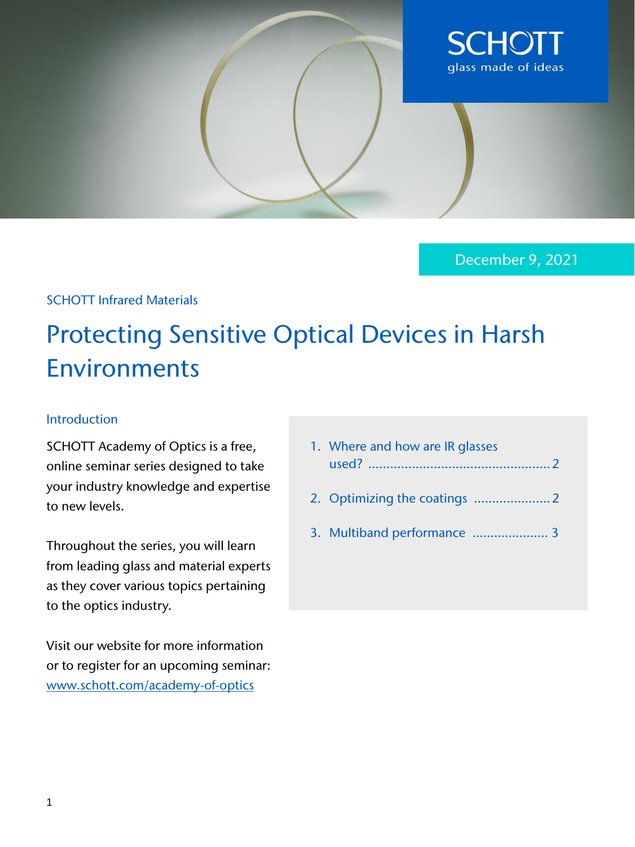

December 9, 2021

# SCHOTT Infrared Materials

# Protecting Sensitive Optical Devices in Harsh Environments

#### Introduction

SCHOTT Academy of Optics is a free, online seminar series designed to take your industry knowledge and expertise to new levels.

Throughout the series, you will learn from leading glass and material experts as they cover various topics pertaining to the optics industry.

Visit our website for more information or to register for an upcoming seminar: [www.schott.com/academy-of-optics](https://web.cvent.com/event/4e75919d-5a35-4140-b94b-95336562b4b8/summary)

|  | 1. Where and how are IR glasses |  |  |
|--|---------------------------------|--|--|
|  |                                 |  |  |
|  |                                 |  |  |

- 2. Optimizing the coatings .....................2
- 3. Multiband performance ………….…….. 3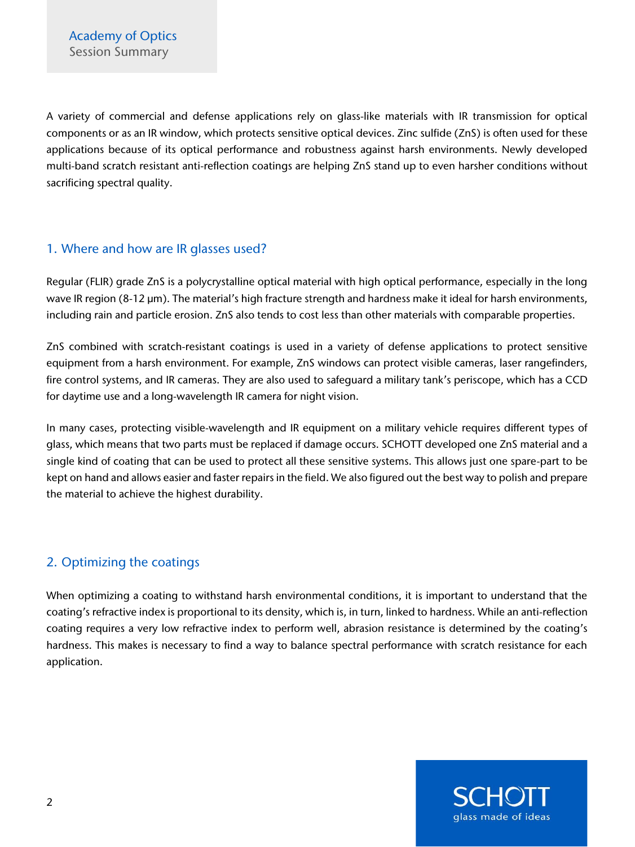A variety of commercial and defense applications rely on glass-like materials with IR transmission for optical components or as an IR window, which protects sensitive optical devices. Zinc sulfide (ZnS) is often used for these applications because of its optical performance and robustness against harsh environments. Newly developed multi-band scratch resistant anti-reflection coatings are helping ZnS stand up to even harsher conditions without sacrificing spectral quality.

#### 1. Where and how are IR glasses used?

Regular (FLIR) grade ZnS is a polycrystalline optical material with high optical performance, especially in the long wave IR region (8-12 µm). The material's high fracture strength and hardness make it ideal for harsh environments, including rain and particle erosion. ZnS also tends to cost less than other materials with comparable properties.

ZnS combined with scratch-resistant coatings is used in a variety of defense applications to protect sensitive equipment from a harsh environment. For example, ZnS windows can protect visible cameras, laser rangefinders, fire control systems, and IR cameras. They are also used to safeguard a military tank's periscope, which has a CCD for daytime use and a long-wavelength IR camera for night vision.

In many cases, protecting visible-wavelength and IR equipment on a military vehicle requires different types of glass, which means that two parts must be replaced if damage occurs. SCHOTT developed one ZnS material and a single kind of coating that can be used to protect all these sensitive systems. This allows just one spare-part to be kept on hand and allows easier and faster repairs in the field. We also figured out the best way to polish and prepare the material to achieve the highest durability.

# 2. Optimizing the coatings

When optimizing a coating to withstand harsh environmental conditions, it is important to understand that the coating's refractive index is proportional to its density, which is, in turn, linked to hardness. While an anti-reflection coating requires a very low refractive index to perform well, abrasion resistance is determined by the coating's hardness. This makes is necessary to find a way to balance spectral performance with scratch resistance for each application.

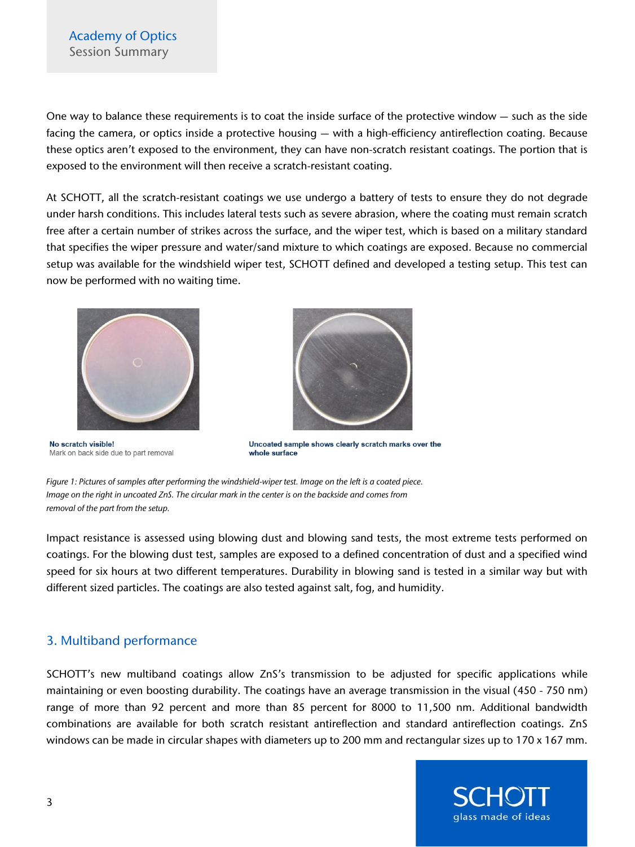## Academy of Optics Session Summary

One way to balance these requirements is to coat the inside surface of the protective window — such as the side facing the camera, or optics inside a protective housing — with a high-efficiency antireflection coating. Because these optics aren't exposed to the environment, they can have non-scratch resistant coatings. The portion that is exposed to the environment will then receive a scratch-resistant coating.

At SCHOTT, all the scratch-resistant coatings we use undergo a battery of tests to ensure they do not degrade under harsh conditions. This includes lateral tests such as severe abrasion, where the coating must remain scratch free after a certain number of strikes across the surface, and the wiper test, which is based on a military standard that specifies the wiper pressure and water/sand mixture to which coatings are exposed. Because no commercial setup was available for the windshield wiper test, SCHOTT defined and developed a testing setup. This test can now be performed with no waiting time.



No scratch visible! Mark on back side due to part removal



Uncoated sample shows clearly scratch marks over the whole surface

*Figure 1: Pictures of samples after performing the windshield-wiper test. Image on the left is a coated piece. Image on the right in uncoated ZnS. The circular mark in the center is on the backside and comes from removal of the part from the setup.* 

Impact resistance is assessed using blowing dust and blowing sand tests, the most extreme tests performed on coatings. For the blowing dust test, samples are exposed to a defined concentration of dust and a specified wind speed for six hours at two different temperatures. Durability in blowing sand is tested in a similar way but with different sized particles. The coatings are also tested against salt, fog, and humidity.

## 3. Multiband performance

SCHOTT's new multiband coatings allow ZnS's transmission to be adjusted for specific applications while maintaining or even boosting durability. The coatings have an average transmission in the visual (450 - 750 nm) range of more than 92 percent and more than 85 percent for 8000 to 11,500 nm. Additional bandwidth combinations are available for both scratch resistant antireflection and standard antireflection coatings. ZnS windows can be made in circular shapes with diameters up to 200 mm and rectangular sizes up to 170 x 167 mm.